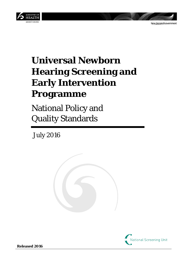

# **Universal Newborn Hearing Screening and Early Intervention Programme**

National Policy and Quality Standards

July 2016



**Released 2016**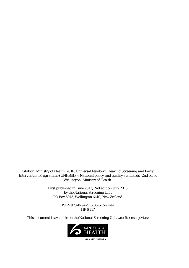Citation: Ministry of Health. 2016. *Universal Newborn Hearing Screening and Early Intervention Programme (UNHSEIP): National policy and quality standards* (2nd edn). Wellington: Ministry of Health.

> First published in June 2013, 2nd edition July 2016 by the National Screening Unit PO Box 5013, Wellington 6140, New Zealand

> > ISBN 978-0-947515-35-5 (online) HP 6447

This document is available on the National Screening Unit website: nsu.govt.nz

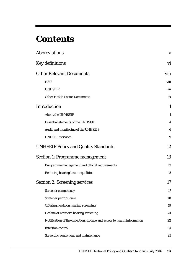# **Contents**

| Abbreviations                                                            |              |  |
|--------------------------------------------------------------------------|--------------|--|
| <b>Key definitions</b>                                                   | vi           |  |
| <b>Other Relevant Documents</b>                                          | viii         |  |
| <b>NSU</b>                                                               | viii         |  |
| <b>UNHSEIP</b>                                                           | viii         |  |
| <b>Other Health Sector Documents</b>                                     | ix           |  |
| <b>Introduction</b>                                                      | $\mathbf{1}$ |  |
| <b>About the UNHSEIP</b>                                                 | 1            |  |
| <b>Essential elements of the UNHSEIP</b>                                 | 4            |  |
| Audit and monitoring of the UNHSEIP                                      | 6            |  |
| <b>UNHSEIP</b> services                                                  | 9            |  |
| <b>UNHSEIP Policy and Quality Standards</b>                              | 12           |  |
| <b>Section 1: Programme management</b>                                   | 13           |  |
| Programme management and official requirements                           | 13           |  |
| Reducing hearing loss inequalities                                       |              |  |
| <b>Section 2: Screening services</b>                                     | 17           |  |
| <b>Screener competency</b>                                               | 17           |  |
| Screener performance                                                     | 18           |  |
| Offering newborn hearing screening                                       | 19           |  |
| Decline of newborn hearing screening                                     | 21           |  |
| Notification of the collection, storage and access to health information | 22           |  |
| <b>Infection control</b>                                                 | 24           |  |
| Screening equipment and maintenance                                      | 25           |  |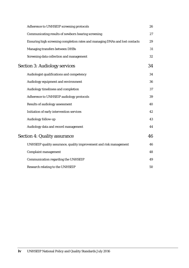| Adherence to UNHSEIP screening protocols                                     | 26 |  |  |
|------------------------------------------------------------------------------|----|--|--|
| Communicating results of newborn hearing screening                           | 27 |  |  |
| Ensuring high screening completion rates and managing DNAs and lost contacts | 29 |  |  |
| Managing transfers between DHBs                                              | 31 |  |  |
| Screening data collection and management                                     | 32 |  |  |
| <b>Section 3: Audiology services</b>                                         |    |  |  |
| Audiologist qualifications and competency                                    | 34 |  |  |
| Audiology equipment and environment                                          | 36 |  |  |
| Audiology timeliness and completion                                          | 37 |  |  |
| Adherence to UNHSEIP audiology protocols                                     | 39 |  |  |
| <b>Results of audiology assessment</b>                                       | 40 |  |  |
| Initiation of early intervention services                                    | 42 |  |  |
| Audiology follow-up                                                          | 43 |  |  |
| Audiology data and record management                                         | 44 |  |  |
| <b>Section 4: Quality assurance</b><br>46                                    |    |  |  |
| UNHSEIP quality assurance, quality improvement and risk management           | 46 |  |  |
| <b>Complaint management</b>                                                  | 48 |  |  |
| Communication regarding the UNHSEIP                                          | 49 |  |  |
| Research relating to the UNHSEIP                                             | 50 |  |  |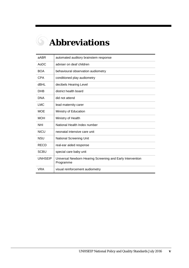

| aABR           | automated auditory brainstem response                                   |  |  |
|----------------|-------------------------------------------------------------------------|--|--|
| AoDC           | adviser on deaf children                                                |  |  |
| <b>BOA</b>     | behavioural observation audiometry                                      |  |  |
| CPA            | conditioned play audiometry                                             |  |  |
| dBHL           | decibels Hearing Level                                                  |  |  |
| DHB            | district health board                                                   |  |  |
| <b>DNA</b>     | did not attend                                                          |  |  |
| <b>LMC</b>     | lead maternity carer                                                    |  |  |
| <b>MOE</b>     | Ministry of Education                                                   |  |  |
| <b>MOH</b>     | Ministry of Health                                                      |  |  |
| <b>NHI</b>     | National Health Index number                                            |  |  |
| <b>NICU</b>    | neonatal intensive care unit                                            |  |  |
| <b>NSU</b>     | <b>National Screening Unit</b>                                          |  |  |
| RECD           | real-ear aided response                                                 |  |  |
| <b>SCBU</b>    | special care baby unit                                                  |  |  |
| <b>UNHSEIP</b> | Universal Newborn Hearing Screening and Early Intervention<br>Programme |  |  |
| <b>VRA</b>     | visual reinforcement audiometry                                         |  |  |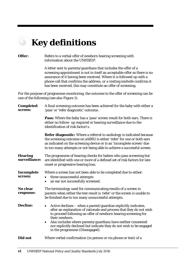

**Offer:** Refers to a verbal offer of newborn hearing screening with information about the UNHSEIP.

> A letter sent to parents/guardians that includes the offer of a screening appointment is not in itself an acceptable offer as there is no assurance of it having been received. Where it is followed up with a phone call that confirms the address, or a visiting midwife confirms it has been received, this may constitute an offer of screening.

For the purpose of programme monitoring, the outcome to the offer of screening can be one of the following (see also Figure 1):

| <b>Completed</b><br>screen:     | A final screening outcome has been achieved for the baby with either a<br>'pass' or 'refer diagnostic' outcome.                                                                                                                                                                                                                                                                                                              |  |  |
|---------------------------------|------------------------------------------------------------------------------------------------------------------------------------------------------------------------------------------------------------------------------------------------------------------------------------------------------------------------------------------------------------------------------------------------------------------------------|--|--|
|                                 | <b>Pass:</b> Where the baby has a 'pass' screen result for both ears. There is<br>either no follow- up required or hearing surveillance due to the<br>identification of risk factor/s.                                                                                                                                                                                                                                       |  |  |
|                                 | <b>Refer diagnostic:</b> Where a referral to audiology is indicated because<br>the screening outcome on aABR2 is either 'refer' for one or both ears<br>as indicated on the screening device or is an 'incomplete screen' due<br>to too many attempts or not being able to achieve a successful screen.                                                                                                                      |  |  |
| <b>Hearing</b><br>surveillance: | The programme of hearing checks for babies who pass screening but<br>are identified with one or more of a defined set of risk factors for late<br>onset or progressive hearing loss.                                                                                                                                                                                                                                         |  |  |
| Incomplete<br>screen:           | Where a screen has not been able to be completed due to either:<br>three unsuccessful attempts<br>an ear not successfully screened.<br>$\bullet$                                                                                                                                                                                                                                                                             |  |  |
| No clear<br>response:           | The terminology used for communicating results of a screen to<br>parents when either the test result is 'refer' or the screen is unable to<br>be finished due to too many unsuccessful attempts.                                                                                                                                                                                                                             |  |  |
| <b>Decline:</b>                 | Active declines - when a parent/guardian explicitly indicates,<br>$\bullet$<br>after an explanation of rationale and process that they do not wish<br>to proceed following an offer of newborn hearing screening for<br>their newborn.<br>Also includes where parents/guardians have neither consented<br>$\bullet$<br>nor explicitly declined but indicate they do not wish to be engaged<br>in the programme (Disengaged). |  |  |
| Did not                         | Where verbal confirmation (in person or via phone or text) of a                                                                                                                                                                                                                                                                                                                                                              |  |  |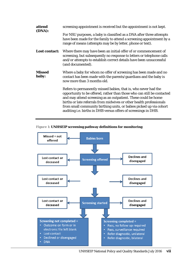| attend<br>(DNA):       | screening appointment is received but the appointment is not kept.                                                                                                                                                                                                                                                                                                                                                             |  |  |
|------------------------|--------------------------------------------------------------------------------------------------------------------------------------------------------------------------------------------------------------------------------------------------------------------------------------------------------------------------------------------------------------------------------------------------------------------------------|--|--|
|                        | For NSU purposes, a baby is classified as a DNA after three attempts<br>have been made for the family to attend a screening appointment by a<br>range of means (attempts may be by letter, phone or text).                                                                                                                                                                                                                     |  |  |
| Lost contact:          | Where there may have been an initial offer of or commencement of<br>screening, but subsequently no response to letters or telephone calls<br>and/or attempts to establish correct details have been unsuccessful<br>(and documented).                                                                                                                                                                                          |  |  |
| <b>Missed</b><br>baby: | Where a baby for whom no offer of screening has been made and no<br>contact has been made with the parents/guardians and the baby is<br>now more than 3 months old.                                                                                                                                                                                                                                                            |  |  |
|                        | Refers to permanently missed babies, that is, who never had the<br>opportunity to be offered, rather than those who can still be contacted<br>and may attend screening as an outpatient. These could be home<br>births or late referrals from midwives or other health professionals<br>from small community birthing units, or babies picked up via cohort<br>auditing i.e. births in DHB versus offers of screenings in DHB. |  |  |

#### **Figure 1: UNHSEIP screening pathway definitions for monitoring**

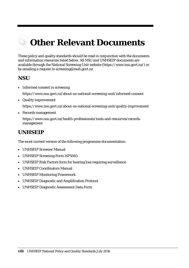# **Other Relevant Documents**

These policy and quality standards should be read in conjunction with the documents and information resources listed below. All NSU and UNHSEIP documents are available through the National Screening Unit website [\(https://www.nsu.govt.nz/\)](https://www.nsu.govt.nz/) or by emailing a request to [screening@moh.govt.nz](mailto:screening@moh.govt.nz)

# **NSU**

• Informed consent in screening

https://www.nsu.govt.nz/about-us-national-screening-unit/informed-consent

• Quality improvement

https://www.nsu.govt.nz/about-us-national-screening-unit/quality-improvement

• Records management

https://www.nsu.govt.nz/health-professionals/tools-and-resources/recordsmanagement

# **UNHSEIP**

The most current version of the following programme documentation:

- UNHSEIP Screener Manual
- UNHSEIP Screening Form HP5065
- UNHSEIP Risk Factors form for hearing loss requiring surveillance
- UNHSEIP Coordinators Manual
- UNHSEIP Monitoring Framework
- UNHSEIP Diagnostic and Amplification Protocol
- UNHSEIP Diagnostic Assessment Data Form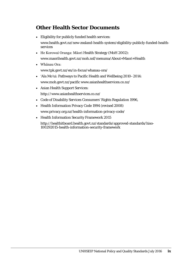# **Other Health Sector Documents**

- Eligibility for publicly funded health services: [www.health.govt.nz/new-zealand-health-system/eligibility-publicly-funded-health](http://www.health.govt.nz/new-zealand-health-system/eligibility-publicly-funded-health-services)[services](http://www.health.govt.nz/new-zealand-health-system/eligibility-publicly-funded-health-services)
- He Korowai Oranga: Māori Health Strategy (MoH 2002): [www.maorihealth.govt.nz/moh.nsf/menuma/About+Maori+Health](http://www.maorihealth.govt.nz/moh.nsf/menuma/About+Maori+Health)
- Whānau Ora: www.tpk.govt.nz/en/in-focus/whanau-ora/
- 'Ala Mo'ui: Pathways to Pacific Health and Wellbeing 2010–2014: www.moh.govt.nz/pacific www.asianhealthservices.co.nz/
- Asian Health Support Services: <http://www.asianhealthservices.co.nz/>
- Code of Disability Services Consumers' Rights Regulation 1996,
- Health Information Privacy Code 1994 (revised 2008) [www.privacy.org.nz/health-information-privacy-code/](http://www.privacy.org.nz/health-information-privacy-code/)
- Health Information Security Framework 2015

http://healthitboard.health.govt.nz/standards/approved-standards/hiso-100292015-health-information-security-framework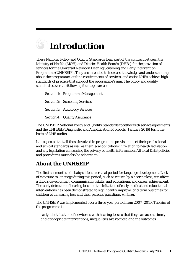# **Introduction**

These National Policy and Quality Standards form part of the contract between the Ministry of Health (MOH) and District Health Boards (DHBs) for the provision of services for the Universal Newborn Hearing Screening and Early Intervention Programme (UNHSEIP). They are intended to increase knowledge and understanding about the programme, outline requirements of services, and assist DHBs achieve high standards of practice that support the programme's aim. The policy and quality standards cover the following four topic areas:

Section 1: Programme Management Section 2: Screening Services Section 3: Audiology Services Section 4: Quality Assurance

The UNHSEIP National Policy and Quality Standards together with service agreements and the UNHSEIP Diagnostic and Amplification Protocols (January 2016) form the basis of DHB audits.

It is expected that all those involved in programme provision meet their professional and ethical standards as well as their legal obligations in relation to health legislation and any legislation concerning the privacy of health information. All local DHB policies and procedures must also be adhered to.

# **About the UNHSEIP**

The first six months of a baby's life is a critical period for language development. Lack of exposure to language during this period, such as caused by a hearing loss, can affect a child's development, communication skills, and educational and career achievement. The early detection of hearing loss and the initiation of early medical and educational interventions has been demonstrated to significantly improve long-term outcomes for children with hearing loss and their parents/guardians/whānau.

The UNHSEIP was implemented over a three-year period from 2007–2010. The aim of the programme is:

*early identification of newborns with hearing loss so that they can access timely and appropriate interventions, inequalities are reduced and the outcomes*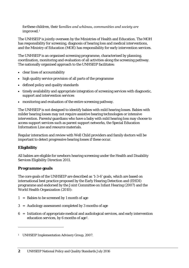#### *forthese children, their families and whānau, communities and society are improved.[1](#page-11-0)*

The UNHSEIP is jointly overseen by the Ministries of Health and Education. The MOH has responsibility for screening, diagnosis of hearing loss and medical interventions, and the Ministry of Education (MOE) has responsibility for early intervention services.

The UNHSEIP is an organised screening programme, characterised by planning, coordination, monitoring and evaluation of all activities along the screening pathway. The nationally organised approach to the UNHSEIP facilitates:

- clear lines of accountability
- high quality service provision of all parts of the programme
- defined policy and quality standards
- timely availability and appropriate integration of screening services with diagnostic, support and intervention services
- monitoring and evaluation of the entire screening pathway.

The UNHSEIP is not designed to identify babies with mild hearing losses. Babies with milder hearing losses may not require assistive hearing technologies or intensive intervention. Parents/guardians who have a baby with mild hearing loss may choose to access support services such as parent support networks, the Special Education Information Line and resource materials.

Regular interaction and review with Well Child providers and family doctors will be important to detect progressive hearing losses if these occur.

## **Eligibility**

-

All babies are eligible for newborn hearing screening under the Health and Disability Services Eligibility Direction 2011.

#### **Programme goals**

The core goals of the UNHSEIP are described as '1-3-6' goals, which are based on international best practice proposed by the Early Hearing Detection and (EHDI) programme and endorsed by the Joint Committee on Infant Hearing (2007) and the World Health Organization (2010):

- 1 = Babies to be screened by 1 month of age
- 3 = Audiology assessment completed by 3 months of age
- 6 = Initiation of appropriate medical and audiological services, and early intervention education services, by 6 months of age[2](#page-11-1).

<span id="page-11-1"></span><span id="page-11-0"></span><sup>1</sup> UNHSEIP Implementation Advisory Group, 2007.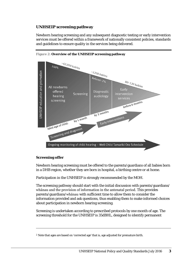## **UNHSEIP screening pathway**

Newborn hearing screening and any subsequent diagnostic testing or early intervention services must be offered within a framework of nationally consistent policies, standards and guidelines to ensure quality in the services being delivered.





#### **Screening offer**

 $\overline{a}$ 

Newborn hearing screening must be offered to the parents/guardians of all babies born in a DHB region, whether they are born in hospital, a birthing centre or at home.

Participation in the UNHSEIP is strongly recommended by the MOH.

The screening pathway should start with the initial discussion with parents/guardians/ whānau and the provision of information in the antenatal period. This provides parents/guardians/whānau with sufficient time to allow them to consider the information provided and ask questions, thus enabling them to make informed choices about participation in newborn hearing screening.

Screening is undertaken according to prescribed protocols by one month of age. The screening threshold for the UNHSEIP is 35dBHL, designed to identify permanent

<sup>2</sup> Note that ages are based on 'corrected age' that is, age adjusted for premature birth.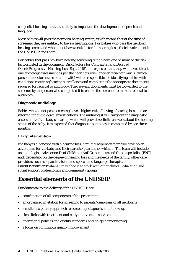congenital hearing loss that is likely to impact on the development of speech and language.

Most babies will pass the newborn hearing screen, which means that at the time of screening they are unlikely to have a hearing loss. For babies who pass the newborn hearing screen and who do not have a risk factor for hearing loss, their involvement in the UNHSEIP ends here.

For babies that pass newborn hearing screening but do have one or more of the risk factors listed in the document '*Risk Factors for Congenital and Delayed Onset/Progressive Hearing Loss Sept 2015*', it is expected that they will have at least one audiology assessment as per the hearing surveillance criteria pathway. A clinical person (a doctor, nurse or a midwife) will be responsible for identifying babies with conditions requiring hearing surveillance and completing the appropriate documents required for referral to audiology. The relevant documents must be forwarded to the screener by the person who completed it to enable the screener to make a referral to audiology.

#### **Diagnostic audiology**

Babies who do not pass screening have a higher risk of having a hearing loss, and are referred for audiological investigations. The audiologist will carry out the diagnostic assessment of the baby's hearing, which will provide definite answers about the hearing status of the baby. It is expected that diagnostic audiology is completed by age three months.

#### **Early intervention**

If a baby is diagnosed with a hearing loss, a multidisciplinary team will develop an action plan for the baby and their parents/guardians/ whānau. The team will include an audiologist, Adviser on Deaf Children (AoDC), ear, nose and throat specialist (ENT) and, depending on the degree of hearing loss and the needs of the family, other care providers such as a paediatrician and speech and language therapist. Parents/guardians/whānau may choose to work with other clinical, education and social support professionals and community groups.

# **Essential elements of the UNHSEIP**

Fundamental to the delivery of the UNHSEIP are:

- coordination of all components of the programme
- an organised invitation for screening to parents/guardians of all newborns
- a multidisciplinary approach to screening, diagnosis and follow-up
- close links with treatment and early intervention services
- operational policies and quality standards and on-going monitoring
- a focus on continuous quality improvement.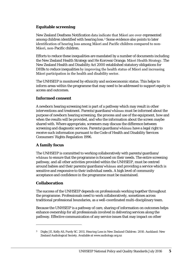## **Equitable screening**

New Zealand Deafness Notification data indicate that Māori are over-represented among children identified with hearing loss.<sup>[3](#page-14-0)</sup> Some evidence also points to later identification of hearing loss among Māori and Pacific children compared to non-Māori, non-Pacific children.

Efforts to reduce these inequalities are mandated by a number of documents including the New Zealand Health Strategy and He Korowai Oranga: Māori Health Strategy. The New Zealand Health and Disability Act 2000 established statutory obligations for DHBs to reduce inequalities by improving the health status of Māori and increasing Māori participation in the health and disability sector.

The UNHSEIP is monitored by ethnicity and socioeconomic status. This helps to inform areas within the programme that may need to be addressed to support equity in access and outcomes.

## **Informed consent**

A newborn hearing screening test is part of a pathway which may result in other interventions and treatment. Parents/guardians/whānau must be informed about the purpose of newborn hearing screening, the process and use of the equipment, how and when the results will be provided, and who the information about the screen maybe shared with. Where appropriate, screeners may discuss the difference between screening and diagnostic services. Parents/guardians/whānau have a legal right to receive such information pursuant to the Code of Health and Disability Services Consumers' Rights Regulation 1996.

## **A family focus**

The UNHSEIP is committed to working collaboratively with parents/guardians/ whānau to ensure that the programme is focused on their needs. The entire screening pathway, and all other activities provided within the UNHSEIP, must be centred around babies and their parents/guardians/whānau and providing a service which is sensitive and responsive to their individual needs. A high level of community acceptance and confidence in the programme must be maintained.

#### **Collaboration**

1

The success of the UNHSEIP depends on professionals working together throughout the programme. Professionals need to work collaboratively, sometimes across traditional professional boundaries, as a well-coordinated multi-disciplinary team.

Because the UNHSEIP is a pathway of care, sharing of information on outcomes helps enhance ownership for all professionals involved in delivering services along the pathway. Effective communication of any service issues that may impact on other

<span id="page-14-0"></span><sup>3</sup> Digby JE, Kelly AS, Purdy SC. 2011. *Hearing Loss in New Zealand Children: 2010*. Auckland: New Zealand Audiological Society. Available at www.audiology.org.nz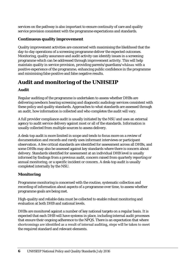services on the pathway is also important to ensure continuity of care and quality service provision consistent with the programme expectations and standards.

# **Continuous quality improvement**

Quality improvement activities are concerned with maximising the likelihood that the day-to-day operations of a screening programme deliver the expected outcomes. Monitoring, quality assurance and audit activity can identify issues in a screening programme which can be addressed through improvement activity. This will help maintain quality in service provision, providing parents/guardians/whānau with a positive experience of the programme, enhancing public confidence in the programme and minimising false positive and false negative results.

# **Audit and monitoring of the UNHSEIP**

# **Audit**

Regular auditing of the programme is undertaken to assess whether DHBs are delivering newborn hearing screening and diagnostic audiology services consistent with these policy and quality standards. Approaches to what standards are assessed through an audit, how information is collected and who completes the audit will vary.

A full provider compliance audit is usually initiated by the NSU and uses an external agency to audit service delivery against most or all of the standards. Information is usually collected from multiple sources to assess delivery.

A desk-top audit is more limited in scope and tends to focus more on a review of documentation and records and rarely uses informant interviews or participant observation. A few critical standards are identified for assessment across all DHBs, and some DHBs may also be assessed against key standards where there is concern about delivery. Standards identified for assessment at an individual DHB level is usually informed by findings from a previous audit, concern raised from quarterly reporting or annual monitoring, or a specific incident or concern. A desk-top audit is usually completed internally by the NSU.

# **Monitoring**

Programme monitoring is concerned with the routine, systematic collection and recording of information about aspects of a programme over time, to assess whether programme goals are being met.

High-quality and reliable data must be collected to enable robust monitoring and evaluation at both DHB and national levels.

DHBs are monitored against a number of key national targets on a regular basis. It is expected that each DHB will have systems in place, including internal audit processes that ensure their ongoing adherence to the NPQS. There is an expectation that where shortcomings are identified as a result of internal auditing, steps will be taken to meet the required standard and relevant elements.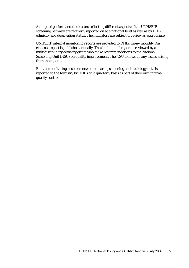A range of performance indicators reflecting different aspects of the UNHSEIP screening pathway are regularly reported on at a national level as well as by DHB, ethnicity and deprivation status. The indicators are subject to review as appropriate.

UNHSEIP internal monitoring reports are provided to DHBs three -monthly. An external report is published annually. The draft annual report is reviewed by a multidisciplinary advisory group who make recommendations to the National Screening Unit (NSU) on quality improvement. The NSU follows up any issues arising from the reports.

Routine monitoring based on newborn hearing screening and audiology data is reported to the Ministry by DHBs on a quarterly basis as part of their own internal quality control.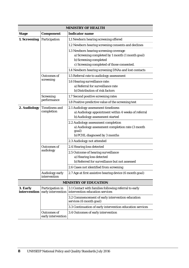| <b>MINISTRY OF HEALTH</b>    |                                          |                                                                                                                                                                    |  |  |
|------------------------------|------------------------------------------|--------------------------------------------------------------------------------------------------------------------------------------------------------------------|--|--|
| <b>Stage</b>                 | Component                                | <b>Indicator name</b>                                                                                                                                              |  |  |
| 1. Screening                 | Participation                            | 1,1 Newborn hearing screening offered                                                                                                                              |  |  |
|                              |                                          | 1.2 Newborn hearing screening consents and declines                                                                                                                |  |  |
|                              |                                          | 1.3 Newborn hearing screening coverage<br>a) Screening completed by 1 month (1 month goal)<br>b) Screening completed<br>c) Screening completed of those consented. |  |  |
|                              |                                          | 1.4 Newborn hearing screening DNAs and lost contacts                                                                                                               |  |  |
|                              | <b>Outcomes of</b><br>screening          | 1.5 Referral rate to audiology assessment                                                                                                                          |  |  |
|                              |                                          | 1.6 Hearing surveillance rate:<br>a) Referral for surveillance rate<br>b) Distribution of risk factors                                                             |  |  |
|                              | <b>Screening</b>                         | 1.7 Second positive screening rates                                                                                                                                |  |  |
|                              | performance                              | 1.8 Positive predictive value of the screening test                                                                                                                |  |  |
| 2. Audiology                 | <b>Timeliness and</b><br>completion      | 2.1 Audiology assessment timeliness<br>a) Audiology appointment within 4 weeks of referral<br>b) Audiology assessment started                                      |  |  |
|                              |                                          | 2.2 Audiology assessment completion<br>a) Audiology assessment completion rate (3 month<br>goal)<br>b) PCHL diagnosed by 3 months                                  |  |  |
|                              |                                          | 2.3 Audiology not attended                                                                                                                                         |  |  |
|                              | <b>Outcomes of</b><br>audiology          | 2.4 Hearing loss detected                                                                                                                                          |  |  |
|                              |                                          | 2.5 Outcome of hearing surveillance<br>a) Hearing loss detected<br>b) Referred for surveillance but not assessed                                                   |  |  |
|                              |                                          | 2.6 Cases not identified from screening                                                                                                                            |  |  |
|                              | Audiology early<br>intervention          | 2.7 Age at first assistive hearing device (6 month goal)                                                                                                           |  |  |
| <b>MINISTRY OF EDUCATION</b> |                                          |                                                                                                                                                                    |  |  |
| 3. Early<br>intervention     | Participation in<br>early intervention   | 3.1 Contact with families following referral to early<br>intervention education services                                                                           |  |  |
|                              |                                          | 3.2 Commencement of early intervention education<br>services (6 month goal)                                                                                        |  |  |
|                              |                                          | 3.3 Continuation of early intervention education services                                                                                                          |  |  |
|                              | <b>Outcomes of</b><br>early intervention | 3.4 Outcomes of early intervention                                                                                                                                 |  |  |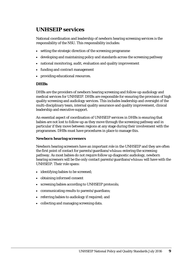# **UNHSEIP services**

National coordination and leadership of newborn hearing screening services is the responsibility of the NSU. This responsibility includes:

- setting the strategic direction of the screening programme
- developing and maintaining policy and standards across the screening pathway
- national monitoring, audit, evaluation and quality improvement
- funding and contract management
- providing educational resources.

#### **DHBs**

DHBs are the providers of newborn hearing screening and follow-up audiology and medical services for UNHSEIP. DHBs are responsible for ensuring the provision of high quality screening and audiology services. This includes leadership and oversight of the multi-disciplinary team, internal quality assurance and quality improvement, clinical leadership and executive support.

An essential aspect of coordination of UNHSEIP services in DHBs is ensuring that babies are not lost to follow-up as they move through the screening pathway and in particular if they move between regions at any stage during their involvement with the programmes. DHBs must have procedures in place to manage this.

#### **Newborn hearing screeners**

Newborn hearing screeners have an important role in the UNHSEIP and they are often the first point of contact for parents/guardians/whānau entering the screening pathway. As most babies do not require follow up diagnostic audiology, newborn hearing screeners will be the only contact parents/guardians/whānau will have with the UNHSEIP. Their role spans:

- identifying babies to be screened;
- obtaining informed consent
- screening babies according to UNHSEIP protocols;
- communicating results to parents/guardians;
- referring babies to audiology if required; and
- collecting and managing screening data.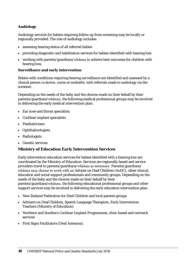#### **Audiology**

Audiology services for babies requiring follow-up from screening may be locally or regionally provided. The role of audiology includes:

- assessing hearing status of all referred babies
- providing diagnostic and habilitation services for babies identified with hearing loss
- working with parents/guardians/whānau to achieve best outcomes for children with hearing loss.

#### **Surveillance and early intervention**

Babies with conditions requiring hearing surveillance are identified and assessed by a clinical person (a doctor, nurse or midwife), with referrals made to audiology via the screener.

Depending on the needs of the baby and the choices made on their behalf by their parents/guardians/whānau, the following medical professional groups may be involved in delivering the early medical intervention plan:

- Ear nose and throat specialists
- Cochlear implant specialists
- Paediatricians
- Ophthalmologists
- Radiologists
- Genetic services.

#### **Ministry of Education Early Intervention Services**

Early intervention education services for babies identified with a hearing loss are coordinated by the Ministry of Education. Services are regionally based and service providers travel to parents/guardians/whānau as necessary. Parents/guardians/ whānau may choose to work with an Adviser on Deaf Children (AoDC), other clinical, education and social support professionals and community groups. Depending on the needs of the baby and the choices made on their behalf by their parents/guardians/whānau, the following educational professional groups and other support services may be involved in delivering the early education intervention plan:

- New Zealand Federation for Deaf Children and local parents groups
- Advisers on Deaf Children, Speech Language Therapists, Early Intervention Teachers (Ministry of Education)
- Northern and Southern Cochlear Implant Programmes, clinic based and outreach services
- First Signs Facilitators (Deaf Aotearoa).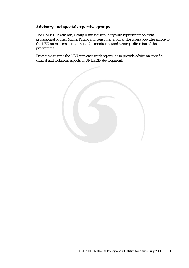# **Advisory and special expertise groups**

The UNHSEIP Advisory Group is multidisciplinary with representation from professional bodies, Māori, Pacific and consumer groups. The group provides advice to the NSU on matters pertaining to the monitoring and strategic direction of the programme.

From time to time the NSU convenes working groups to provide advice on specific clinical and technical aspects of UNHSEIP development.

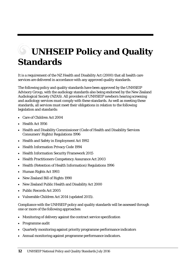# **UNHSEIP Policy and Quality Standards**

It is a requirement of the NZ Health and Disability Act (2000) that all health care services are delivered in accordance with any approved quality standards.

The following policy and quality standards have been approved by the UNHSEIP Advisory Group, with the audiology standards also being endorsed by the New Zealand Audiological Society (NZAS). All providers of UNHSEIP newborn hearing screening and audiology services must comply with these standards. As well as meeting these standards, all services must meet their obligations in relation to the following legislation and standards:

- Care of Children Act 2004
- Health Act 1956
- Health and Disability Commissioner (Code of Health and Disability Services Consumers' Rights) Regulations 1996
- Health and Safety in Employment Act 1992
- Health Information Privacy Code 1994
- Health Information Security Framework 2015
- Health Practitioners Competency Assurance Act 2003
- Health (Retention of Health Information) Regulations 1996
- Human Rights Act 1993
- New Zealand Bill of Rights 1990
- New Zealand Public Health and Disability Act 2000
- Public Records Act 2005
- Vulnerable Children Act 2014 (updated 2015).

Compliance with the UNHSEIP policy and quality standards will be assessed through one or more of the following approaches:

- Monitoring of delivery against the contract service specification
- Programme audit
- Quarterly monitoring against priority programme performance indicators
- Annual monitoring against programme performance indicators.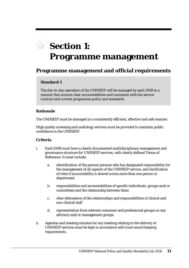# **Section 1: Programme management**

# **Programme management and official requirements**

## **Standard 1**

The day-to-day operation of the UNHSEIP will be managed by each DHB in a manner that ensures clear accountabilities and consistent with the service contract and current programme policy and standards.

#### **Rationale**

The UNHSEIP must be managed in a consistently efficient, effective and safe manner.

High quality screening and audiology services must be provided to maintain public confidence in the UNHSEIP.

- i. Each DHB must have a clearly documented multidisciplinary management and governance structure for UNHSEIP services, with clearly defined Terms of Reference. It must include:
	- a. identification of the person/persons who has designated responsibility for the management of all aspects of the UNHSEIP service, and clarification of roles if accountability is shared across more than one person or department
	- b. responsibilities and accountabilities of specific individuals, groups and/or committees and the relationship between them
	- c. clear delineation of the relationships and responsibilities of clinical and non-clinical staff
	- d. representation from relevant consumer and professional groups on any advisory and/or management groups.
- ii. Agendas and meeting minutes for any meeting relating to the delivery of UNHSEIP services must be kept in accordance with local record keeping requirements.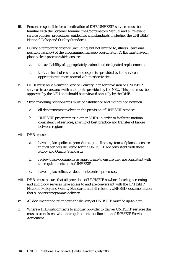- iii. Persons responsible for co-ordination of DHB UNHSEIP services must be familiar with the Screener Manual, the Coordinators Manual and all relevant service policies, procedures, guidelines and standards, including the UNHSEIP National Policy and Quality Standards.
- iv. During a temporary absence (including, but not limited to, illness, leave and position vacancy) of the programme manager/coordinator, DHBs must have in place a clear process which ensures:
	- a. the availability of appropriately trained and designated replacements
	- b. that the level of resources and expertise provided by the service is appropriate to meet normal volumes/activities.
- v. DHBs must have a current Service Delivery Plan for provision of UNHSEIP services in accordance with a template provided by the NSU. This plan must be approved by the NSU and should be reviewed annually by the DHB.
- vi. Strong working relationships must be established and maintained between:
	- a. all departments involved in the provision of UNHSEIP services
	- b. UNHSEIP programmes in other DHBs, in order to facilitate national consistency of services, sharing of best practice and transfer of babies between regions.
- vii. DHBs must:
	- a. have in place policies, procedures, guidelines, systems of plans to ensure that all services delivered for the UNHSEIP are consistent with these Policy and Quality Standards
	- b. review these documents as appropriate to ensure they are consistent with the requirements of the UNHSEIP
	- c. have in place effective document control processes.
- viii. DHBs must ensure that all providers of UNHSEIP newborn hearing screening and audiology services have access to and are conversant with the UNHSEIP National Policy and Quality Standards and all relevant UNHSEIP documentation that supports programme delivery.
- ix. All documentation relating to the delivery of UNHSEIP must be up-to-date.
- x. Where a DHB subcontracts to another provider to deliver UNHSEIP services this must be consistent with the requirements outlined in the UNHSEIP Service Agreement.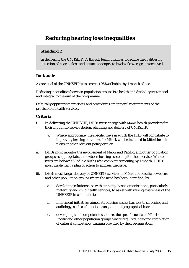# **Reducing hearing loss inequalities**

#### **Standard 2**

In delivering the UNHSEIP, DHBs will lead initiatives to reduce inequalities in detection of hearing loss and ensure appropriate levels of coverage are achieved.

#### **Rationale**

A core goal of the UNHSEIP is to screen >95% of babies by 1 month of age.

Reducing inequalities between population groups is a health and disability sector goal and integral to the aim of the programme.

Culturally appropriate practices and procedures are integral requirements of the provision of health services.

- i. In delivering the UNHSEIP, DHBs must engage with Māori health providers for their input into service design, planning and delivery of UNHSEIP.
	- a. Where appropriate, the specific ways in which the DHB will contribute to improving hearing outcomes for Māori, will be included in Māori health plans or other relevant policy or plan.
- ii. DHBs must monitor the involvement of Maori and Pacific, and other population groups as appropriate, in newborn hearing screening for their service. Where rates are below 95% of live births who complete screening by 1 month, DHBs must implement a plan of action to address the issue.
- iii. DHBs must target delivery of UNHSEIP services to Māori and Pacific newborns, and other population groups where the need has been identified, by:
	- a. developing relationships with ethnicity-based organisations, particularly maternity and child health services, to assist with raising awareness of the UNHSEIP in communities
	- b. implement initiatives aimed at reducing access barriers to screening and audiology, such as financial, transport and geographical barriers
	- c. developing staff competencies to meet the specific needs of Māori and Pacific and other population groups where required including completion of cultural competency training provided by their organisation.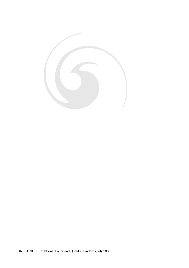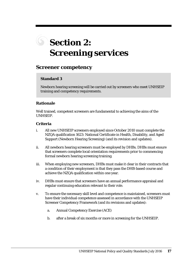# **Section 2: Screening services**

# **Screener competency**

## **Standard 3**

Newborn hearing screening will be carried out by screeners who meet UNHSEIP training and competency requirements.

#### **Rationale**

Well trained, competent screeners are fundamental to achieving the aims of the UNHSEIP.

- i. All new UNHSEIP screeners employed since October 2010 must complete the NZQA qualification 1623: National Certificate in Health, Disability, and Aged Support (Newborn Hearing Screening) (and its revision and updates).
- ii. All newborn hearing screeners must be employed by DHBs. DHBs must ensure that screeners complete local orientation requirements prior to commencing formal newborn hearing screening training.
- iii. When employing new screeners, DHBs must make it clear in their contracts that a condition of their employment is that they pass the DHB-based course and achieve the NZQA qualification within one year.
- iv. DHBs must ensure that screeners have an annual performance appraisal and regular continuing education relevant to their role.
- v. To ensure the necessary skill level and competence is maintained, screeners must have their individual competence assessed in accordance with the UNHSEIP Screener Competency Framework (and its revisions and updates):
	- a. Annual Competency Exercise (ACE)
	- b. after a break of six months or more in screening for the UNHSEIP.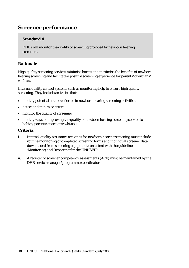# **Screener performance**

## **Standard 4**

DHBs will monitor the quality of screening provided by newborn hearing screeners.

## **Rationale**

High quality screening services minimise harms and maximise the benefits of newborn hearing screening and facilitate a positive screening experience for parents/guardians/ whānau.

Internal quality control systems such as monitoring help to ensure high quality screening. They include activities that:

- identify potential sources of error in newborn hearing screening activities
- detect and minimise errors
- monitor the quality of screening
- identify ways of improving the quality of newborn hearing screening service to babies, parents/guardians/whānau.

- i. Internal quality assurance activities for newborn hearing screening must include routine monitoring of completed screening forms and individual screener data downloaded from screening equipment consistent with the guidelines '*Monitoring and Reporting for the UNHSEIP'*.
- ii. A register of screener competency assessments (ACE) must be maintained by the DHB service manager/programme coordinator.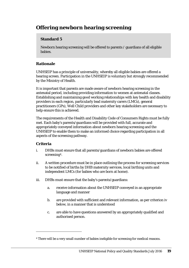# **Offering newborn hearing screening**

# **Standard 5**

Newborn hearing screening will be offered to parents / guardians of all eligible babies.

# **Rationale**

UNHSEIP has a principle of universality, whereby all eligible babies are offered a hearing screen. Participation in the UNHSEIP is voluntary but strongly recommended by the Ministry of Health.

It is important that parents are made aware of newborn hearing screening in the antenatal period, including providing information to women at antenatal classes. Establishing and maintaining good working relationships with key health and disability providers in each region, particularly lead maternity carers (LMCs), general practitioners (GPs), Well Child providers and other key stakeholders are necessary to help ensure this is achieved.

The requirements of the Health and Disability Code of Consumers Rights must be fully met. Each baby's parents/guardians will be provided with full, accurate and appropriately conveyed information about newborn hearing screening and the UNHSEIP to enable them to make an informed choice regarding participation in all aspects of the screening pathway.

# **Criteria**

 $\overline{a}$ 

- i. DHBs must ensure that all parents/guardians of newborn babies are offered screening[4.](#page-28-0)
- ii. A written procedure must be in place outlining the process for screening services to be notified of births by DHB maternity services, local birthing units and independent LMCs (for babies who are born at home).
- iii. DHBs must ensure that the baby's parents/guardians:
	- a. receive information about the UNHSEIP conveyed in an appropriate language and manner
	- b. are provided with sufficient and relevant information, as per criterion iv below, in a manner that is understood
	- c. are able to have questions answered by an appropriately qualified and authorised person.

<span id="page-28-0"></span><sup>4</sup> There will be a very small number of babies ineligible for screening for medical reasons.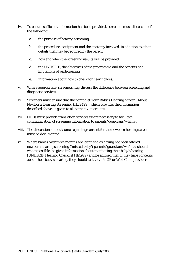- iv. To ensure sufficient information has been provided, screeners must discuss all of the following:
	- a. the purpose of hearing screening
	- b. the procedure, equipment and the anatomy involved, in addition to other details that may be required by the parent
	- c. how and when the screening results will be provided
	- d. the UNHSEIP, the objectives of the programme and the benefits and limitations of participating
	- e. information about how to check for hearing loss.
- v. Where appropriate, screeners may discuss the difference between screening and diagnostic services.
- vi. Screeners must ensure that the pamphlet *Your Baby's Hearing Screen: About Newborn Hearing Screening* (HE2429), which provides the information described above, is given to all parents / guardians.
- vii. DHBs must provide translation services where necessary to facilitate communication of screening information to parents/guardians/whānau.
- viii. The discussion and outcome regarding consent for the newborn hearing screen must be documented.
- ix. Where babies over three months are identified as having not been offered newborn hearing screening ('missed baby') parents/guardians/whānau should, where possible, be given information about monitoring their baby's hearing (*UNHSEIP Hearing Checklist* HE1922) and be advised that, if they have concerns about their baby's hearing, they should talk to their GP or Well Child provider.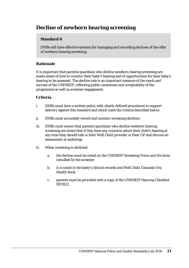# **Decline of newborn hearing screening**

# **Standard 6**

DHBs will have effective systems for managing and recording declines of the offer of newborn hearing screening.

# **Rationale**

It is important that parents/guardians who decline newborn hearing screening are made aware of how to monitor their baby's hearing and of opportunities for their baby's hearing to be assessed. The decline rate is an important measure of the reach and success of the UNHSEIP, reflecting public awareness and acceptability of the programme as well as screener engagement.

- i. DHBs must have a written policy with clearly defined procedures to support delivery against this standard and which meet the criteria described below.
- ii. DHBs must accurately record and monitor screening declines.
- iii. DHBs must ensure that parents/guardians who decline newborn hearing screening are aware that if they have any concerns about their child's hearing at any time they should talk to their Well Child provider or their GP and discuss an assessment at audiology.
- iv. When screening is declined:
	- a. the decline must be noted on the *UNHSEIP Screening Form* and the form initialled by the screener
	- b. it is noted in the baby's clinical records and Well Child Tamariki Ora Health book
	- c. parents must be provided with a copy of the *UNHSEIP Hearing Checklist* HE1922.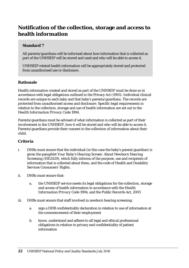# **Notification of the collection, storage and access to health information**

#### **Standard 7**

All parents/guardians will be informed about how information that is collected as part of the UNHSEIP will be stored and used and who will be able to access it.

UNHSEIP related health information will be appropriately stored and protected from unauthorised use or disclosure.

## **Rationale**

Health information created and stored as part of the UNHSEIP must be done so in accordance with legal obligations outlined in the Privacy Act (1993). Individual clinical records are unique to each baby and that baby's parents/guardians. The records are protected from unauthorised access and disclosure. Specific legal requirements in relation to the collection, storage and use of health information are set out in the *Health Information Privacy Code 1994*.

Parents/guardians must be advised of what information is collected as part of their involvement in the UNHSEIP, how it will be stored and who will be able to access it. Parents/guardians provide their consent to the collection of information about their child.

- i. DHBs must ensure that the individual (in this case the baby's parent/guardian) is given the pamphlet *Your Baby's Hearing Screen: About Newborn Hearing Screening* (HE2429), which fully informs of the purpose, use and recipients of information that is collected about them, and the code of Health and Disability Services Consumers' Rights.
- ii. DHBs must ensure that:
	- a. the UNHSEIP service meets its legal obligations for the collection, storage and access of health information in accordance with the *Health Information Privacy Code 1994,* and the *Public Records Act, 2005*
- iii. DHBs must ensure that staff involved in newborn hearing screening:
	- a. sign a DHB confidentiality declaration in relation to use of information at the commencement of their employment
	- b. know, understand and adhere to all legal and ethical professional obligations in relation to privacy and confidentiality of patient information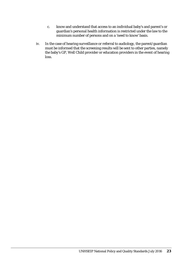- c. know and understand that access to an individual baby's and parent's or guardian's personal health information is restricted under the law to the minimum number of persons and on a 'need to know' basis.
- iv. In the case of hearing surveillance or referral to audiology, the parent/guardian must be informed that the screening results will be sent to other parties, namely the baby's GP, Well Child provider or education providers in the event of hearing loss.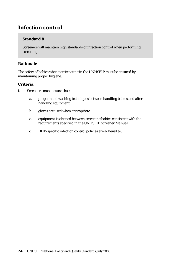# **Infection control**

## **Standard 8**

Screeners will maintain high standards of infection control when performing screening.

## **Rationale**

The safety of babies when participating in the UNHSEIP must be ensured by maintaining proper hygiene.

- i. Screeners must ensure that:
	- a. proper hand washing techniques between handling babies and after handling equipment
	- b. gloves are used when appropriate
	- c. equipment is cleaned between screening babies consistent with the requirements specified in the *UNHSEIP Screener Manual*
	- d. DHB-specific infection control policies are adhered to.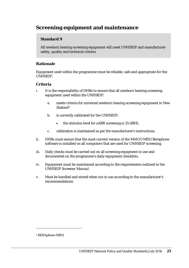# **Screening equipment and maintenance**

#### **Standard 9**

All newborn hearing screening equipment will meet UNHSEIP and manufacturer safety, quality and technical criteria.

#### **Rationale**

Equipment used within the programme must be reliable, safe and appropriate for the **UNHSEIP.** 

#### **Criteria**

- i. It is the responsibility of DHBs to ensure that all newborn hearing screening equipment used within the UNHSEIP:
	- a. meets criteria for universal newborn hearing screening equipment in New Zealand[5](#page-34-0)
	- b. is correctly calibrated for the UNHSEIP:
		- the stimulus level for aABR screening is 35 dBHL
	- c. calibration is maintained as per the manufacturer's instructions.
- ii. DHBs must ensure that the most current version of the MAICO MB11 Beraphone software is installed on all computers that are used for UNHSEIP screening.
- iii. Daily checks must be carried out on all screening equipment in use and documented on the programme's daily equipment checklists.
- iv. Equipment must be maintained according to the requirements outlined in the *UNHSEIP Screener Manual*
- v. Must be handled and stored when not in use according to the manufacturer's recommendations.

1

<span id="page-34-0"></span><sup>5</sup> BERAphone MB11.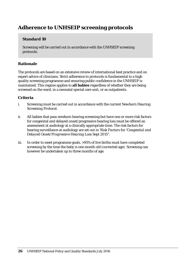# **Adherence to UNHSEIP screening protocols**

## **Standard 10**

Screening will be carried out in accordance with the UNHSEIP screening protocols.

# **Rationale**

The protocols are based on an extensive review of international best practice and on expert advice of clinicians. Strict adherence to protocols is fundamental to a high quality screening programme and ensuring public confidence in the UNHSEIP is maintained. This regime applies to **all babies** regardless of whether they are being screened on the ward, in a neonatal special care unit, or as outpatients.

- i. Screening must be carried out in accordance with the current *Newborn Hearing Screening Protocol*.
- ii. All babies that pass newborn hearing screening but have one or more risk factors for congenital and delayed onset/progressive hearing loss must be offered an assessment at audiology at a clinically appropriate time. The risk factors for hearing surveillance at audiology are set out in '*Risk Factors for 'Congenital and Delayed Onset/Progressive Hearing Loss Sept 2015'*'.
- iii. In order to meet programme goals, >95% of live births must have completed screening by the time the baby is one month old (corrected age). Screening can however be undertaken up to three months of age.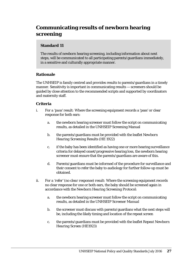# **Communicating results of newborn hearing screening**

## **Standard 11**

The results of newborn hearing screening, including information about next steps, will be communicated to all participating parents/guardians immediately, in a sensitive and culturally appropriate manner.

#### **Rationale**

The UNHSEIP is family centred and provides results to parents/guardians in a timely manner. Sensitivity is important in communicating results — screeners should be guided by close attention to the recommended scripts and supported by coordinators and maternity staff.

- i. *For a 'pass' result:* Where the screening equipment records a 'pass' or clear response for both ears:
	- a. the newborn hearing screener must follow the script on communicating results, as detailed in the UNHSEIP Screening Manual
	- b. the parents/guardians must be provided with the leaflet *Newborn Hearing Screening Results* (HE 1922)
	- c. if the baby has been identified as having one or more hearing surveillance criteria for delayed onset/progressive hearing loss, the newborn hearing screener must ensure that the parents/guardians are aware of this.
	- d. Parents/guardians must be informed of the procedure for surveillance and their consent to refer the baby to audiology for further follow-up must be obtained.
- ii. *For a 'refer' (no clear response) result:* Where the screening equipment records no clear response for one or both ears, the baby should be screened again in accordance with the *Newborn Hearing Screening Protocol*:
	- a. the newborn hearing screener must follow the script on communicating results, as detailed in the *UNHSEIP Screener Manual*
	- b. the screener must discuss with parents/guardians what the next steps will be, including the likely timing and location of the repeat screen
	- c. the parents/guardians must be provided with the leaflet *Repeat Newborn Hearing Screen (*HE1923)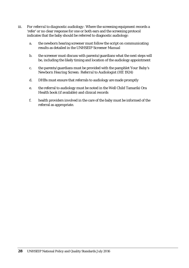- iii. *For referral to diagnostic audiology:* Where the screening equipment records a 'refer' or no clear response for one or both ears and the screening protocol indicates that the baby should be referred to diagnostic audiology:
	- a. the newborn hearing screener must follow the script on communicating results as detailed in the *UNHSEIP Screener Manual*
	- b. the screener must discuss with parents/guardians what the next steps will be, including the likely timing and location of the audiology appointment
	- c. the parents/guardians must be provided with the pamphlet *Your Baby's Newborn Hearing Screen: Referral to Audiologist* (HE 1924)
	- d. DHBs must ensure that referrals to audiology are made promptly
	- e. the referral to audiology must be noted in the Well Child Tamariki Ora Health book (if available) and clinical records
	- f. health providers involved in the care of the baby must be informed of the referral as appropriate.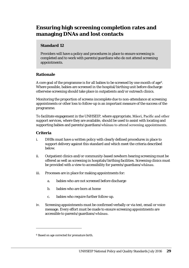# **Ensuring high screening completion rates and managing DNAs and lost contacts**

#### **Standard 12**

Providers will have a policy and procedures in place to ensure screening is completed and to work with parents/guardians who do not attend screening appointments.

#### **Rationale**

A core goal of the programme is for all babies to be screened by one month of age<sup> $6$ </sup>. Where possible, babies are screened in the hospital/birthing unit before discharge otherwise screening should take place in outpatients and/or outreach clinics.

Monitoring the proportion of screens incomplete due to non-attendance at screening appointments or other loss to follow-up is an important measure of the success of the programme.

To facilitate engagement in the UNHSEIP, where appropriate, Māori, Pacific and other support services, where they are available, should be used to assist with locating and supporting babies and parents/guardians/whānau to attend screening appointments.

#### **Criteria**

1

- i. DHBs must have a written policy with clearly defined procedures in place to support delivery against this standard and which meet the criteria described below.
- ii. Outpatient clinics and/or community-based newborn hearing screening must be offered as well as screening in hospitals/birthing facilities. Screening clinics must be provided with a view to accessibility for parents/guardians/whānau.
- iii. Processes are in place for making appointments for:
	- a. babies who are not screened before discharge
	- b. babies who are born at home
	- c. babies who require further follow-up.
- iv. Screening appointments must be confirmed verbally or via text, email or voice message. Every effort must be made to ensure screening appointments are accessible to parents/guardians/whānau.

<span id="page-38-0"></span><sup>6</sup> Based on age corrected for premature birth.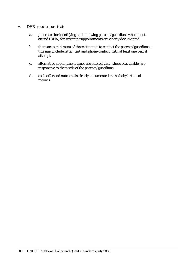- v. DHBs must ensure that:
	- a. processes for identifying and following parents/guardians who do not attend (DNA) for screening appointments are clearly documented
	- b. there are a minimum of three attempts to contact the parents/guardians this may include letter, text and phone contact, with at least one verbal attempt
	- c. alternative appointment times are offered that, where practicable, are responsive to the needs of the parents/guardians
	- d. each offer and outcome is clearly documented in the baby's clinical records.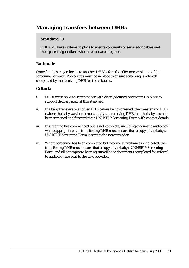# **Managing transfers between DHBs**

## **Standard 13**

DHBs will have systems in place to ensure continuity of service for babies and their parents/guardians who move between regions.

## **Rationale**

Some families may relocate to another DHB before the offer or completion of the screening pathway. Procedures must be in place to ensure screening is offered/ completed by the receiving DHB for these babies.

- i. DHBs must have a written policy with clearly defined procedures in place to support delivery against this standard.
- ii. If a baby transfers to another DHB before being screened, the transferring DHB (where the baby was born) must notify the receiving DHB that the baby has not been screened and forward their *UNHSEIP Screening Form* with contact details.
- iii. If screening has commenced but is not complete, including diagnostic audiology where appropriate, the transferring DHB must ensure that a copy of the baby's *UNHSEIP Screening Form* is sent to the new provider.
- iv. Where screening has been completed but hearing surveillance is indicated, the transferring DHB must ensure that a copy of the baby's *UNHSEIP Screening Form* and all appropriate hearing surveillance documents completed for referral to audiology are sent to the new provider.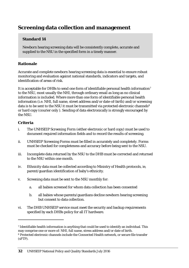# **Screening data collection and management**

# **Standard 14**

Newborn hearing screening data will be consistently complete, accurate and supplied to the NSU in the specified form in a timely manner.

# **Rationale**

Accurate and complete newborn hearing screening data is essential to ensure robust monitoring and evaluation against national standards, indicators and targets, and identification of areas of risk.

It is acceptable for DHBs to send one form of identifiable personal health information[7](#page-41-0) to the NSU, most usually the NHI, through ordinary email as long as no clinical information is included. Where more than one form of identifiable personal health information (i.e. NHI, full name, street address and/or date-of-birth) and/or screening data is to be sent to the NSU it must be transmitted via protected electronic channels<sup>[8](#page-41-1)</sup> or hard copy (courier only ). Sending of data electronically is strongly encouraged by the NSU.

# **Criteria**

-

- i. The *UNHSEIP Screening Form* (either electronic or hard copy) must be used to document required information fields and to record the results of screening.
- ii. UNHSEIP Screening Forms must be filled in accurately and completely. Forms must be checked for completeness and accuracy before being sent to the NSU.
- iii. Incomplete data returned by the NSU to the DHB must be corrected and returned to the NSU within one month.
- iv. Ethnicity data must be collected according to Ministry of Health protocols, ie, parent/guardian identification of baby's ethnicity.
- v. Screening data must be sent to the NSU monthly for:
	- a. all babies screened for whom data collection has been consented
	- b. all babies whose parents/guardians decline newborn hearing screening but consent to data collection.
- vi. The DHB UNHSEIP service must meet the security and backup requirements specified by each DHBs policy for all IT hardware.

<span id="page-41-1"></span><span id="page-41-0"></span><sup>7</sup> Identifiable health information is anything that could be used to identify an individual. This may comprise one or more of: NHI, full name, stress address and/or date of birth. <sup>8</sup> Protected electronic channels include the Connected Health network, or secure file transfer (sFTP).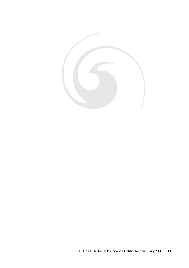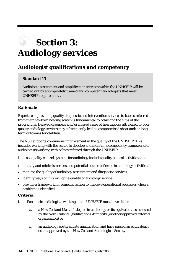# **Section 3: Audiology services**

# **Audiologist qualifications and competency**

## **Standard 15**

Audiologic assessment and amplification services within the UNHSEIP will be carried out by appropriately trained and competent audiologists that meet UNHSEIP requirements.

#### **Rationale**

Expertise in providing quality diagnostic and intervention services to babies referred from their newborn hearing screen is fundamental to achieving the aims of the programme. Delayed diagnosis and/or missed cases of hearing loss attributed to poor quality audiology services may subsequently lead to compromised short and/or longterm outcomes for children.

The NSU supports continuous improvement in the quality of the UNHSEIP. This includes working with the sector to develop and monitor a competency framework for audiologists working with babies referred through the UNHSEIP.

Internal quality control systems for audiology include quality control activities that:

- identify and minimise errors and potential sources of error in audiology activities
- monitor the quality of audiology assessment and diagnostic services
- identify ways of improving the quality of audiology service
- provide a framework for remedial action to improve operational processes when a problem is identified.

- i. Paediatric audiologists working in the UNHSEIP must have either:
	- a. a New Zealand Master's degree in audiology or its equivalent, as assessed by the New Zealand Qualifications Authority (or other approved external organisation) or
	- b. an audiology postgraduate qualification and have passed an equivalency exam approved by the New Zealand Audiological Society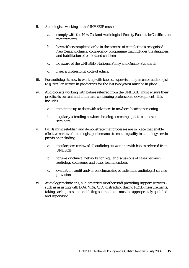- ii. Audiologists working in the UNHSEIP must:
	- a. comply with the New Zealand Audiological Society Paediatric Certification requirements
	- b. have either completed or be in the process of completing a recognised New Zealand clinical competency programme that includes the diagnosis and habilitation of babies and children
	- c. be aware of the UNHSEIP National Policy and Quality Standards
	- d. meet a professional code of ethics.
- iii. For audiologists new to working with babies, supervision by a senior audiologist (e.g. regular service in paediatrics for the last two years) must be in place.
- iv. Audiologists working with babies referred from the UNHSEIP must ensure their practice is current and undertake continuing professional development. This includes:
	- a. remaining up to date with advances in newborn hearing screening
	- b. regularly attending newborn hearing screening update courses or seminars.
- v. DHBs must establish and demonstrate that processes are in place that enable effective review of audiologist performance to ensure quality in audiology service provision including:
	- a. regular peer review of all audiologists working with babies referred from UNHSEIP
	- b. forums or clinical networks for regular discussions of cases between audiology colleagues and other team members
	- c. evaluation, audit and/or benchmarking of individual audiologist service provision.
- vi. Audiology technicians, audiometrists or other staff providing support services such as assisting with BOA, VRA, CPA, distracting during RECD measurements, taking ear impressions and fitting ear moulds – must be appropriately qualified and supervised.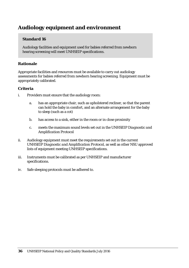# **Audiology equipment and environment**

## **Standard 16**

Audiology facilities and equipment used for babies referred from newborn hearing screening will meet UNHSEIP specifications.

## **Rationale**

Appropriate facilities and resources must be available to carry out audiology assessments for babies referred from newborn hearing screening. Equipment must be appropriately calibrated.

- i. Providers must ensure that the audiology room:
	- a. has an appropriate chair, such as upholstered recliner, so that the parent can hold the baby in comfort, and an alternate arrangement for the baby to sleep (such as a cot)
	- b. has access to a sink, either in the room or in close proximity
	- c. meets the maximum sound levels set out in the *UNHSEIP Diagnostic and Amplification Protocol*
- ii. Audiology equipment must meet the requirements set out in the current *UNHSEIP Diagnostic and Amplification Protocol*, as well as other NSU approved lists of equipment meeting UNHSEIP specifications.
- iii. Instruments must be calibrated as per UNHSEIP and manufacturer specifications.
- iv. Safe sleeping protocols must be adhered to.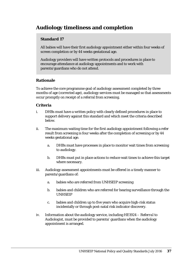# **Audiology timeliness and completion**

## **Standard 17**

All babies will have their first audiology appointment either within four weeks of screen completion or by 44 weeks gestational age.

Audiology providers will have written protocols and procedures in place to encourage attendance at audiology appointments and to work with parents/guardians who do not attend*.*

## **Rationale**

To achieve the core programme goal of audiology assessment completed by three months of age (corrected age), audiology services must be managed so that assessments occur promptly on receipt of a referral from screening.

- i. DHBs must have a written policy with clearly defined procedures in place to support delivery against this standard and which meet the criteria described below.
- ii. The maximum waiting time for the first audiology appointment following a refer result from screening is four weeks after the completion of screening or by 44 weeks gestational age.
	- a. DHBs must have processes in place to monitor wait times from screening to audiology.
	- b. DHBs must put in place actions to reduce wait times to achieve this target where necessary.
- iii. Audiology assessment appointments must be offered in a timely manner to parents/guardians of:
	- a. babies who are referred from UNHSEIP screening
	- b. babies and children who are referred for hearing surveillance through the UNHSEIP
	- c. babies and children up to five years who acquire high-risk status incidentally or through post-natal risk indicator discovery.
- iv. Information about the audiology service, including HE1924 *Referral to Audiologist,* must be provided to parents/ guardians when the audiology appointment is arranged.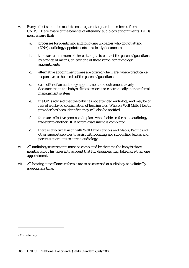- v. Every effort should be made to ensure parents/guardians referred from UNHSEIP are aware of the benefits of attending audiology appointments. DHBs must ensure that:
	- a. processes for identifying and following up babies who do not attend (DNA) audiology appointments are clearly documented
	- b. there are a minimum of three attempts to contact the parents/guardians by a range of means, at least one of these verbal for audiology appointments
	- c. alternative appointment times are offered which are, where practicable, responsive to the needs of the parents/guardians
	- d. each offer of an audiology appointment and outcome is clearly documented in the baby's clinical records or electronically in the referral management system
	- e. the GP is advised that the baby has not attended audiology and may be of risk of a delayed confirmation of hearing loss. Where a Well Child Health provider has been identified they will also be notified
	- f. there are effective processes in place when babies referred to audiology transfer to another DHB before assessment is completed
	- g. there is effective liaison with Well Child services and Māori, Pacific and other support services to assist with locating and supporting babies and parents/guardians to attend audiology.
- vi. All audiology assessments must be completed by the time the baby is three months old<sup>9</sup>. This takes into account that full diagnosis may take more than one appointment.
- vii. All hearing surveillance referrals are to be assessed at audiology at a clinically appropriate time.

-

<span id="page-47-0"></span><sup>9</sup> Corrected age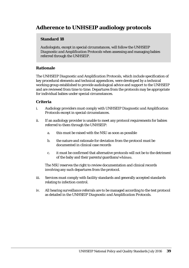# **Adherence to UNHSEIP audiology protocols**

#### **Standard 18**

Audiologists, except in special circumstances, will follow the *UNHSEIP Diagnostic and Amplification Protocols* when assessing and managing babies referred through the UNHSEIP.

#### **Rationale**

The *UNHSEIP Diagnostic and Amplification Protocols*, which include specification of key procedural elements and technical appendices, were developed by a technical working group established to provide audiological advice and support to the UNHSEIP and are reviewed from time to time. Departures from the protocols may be appropriate for individual babies under special circumstances.

#### **Criteria**

- i. Audiology providers must comply with *UNHSEIP Diagnostic and Amplification Protocols* except in special circumstances.
- ii. If an audiology provider is unable to meet any protocol requirements for babies referred to them through the UNHSEIP:
	- a. this must be raised with the NSU as soon as possible
	- b. the nature and rationale for deviation from the protocol must be documented in clinical case records
	- c. it must be confirmed that alternative protocols will not be to the detriment of the baby and their parents/guardians/whānau.

The NSU reserves the right to review documentation and clinical records involving any such departures from the protocol.

- iii. Services must comply with facility standards and generally accepted standards relating to infection control.
- iv. All hearing surveillance referrals are to be managed according to the test protocol as detailed in the *UNHSEIP Diagnostic and Amplification Protocols*.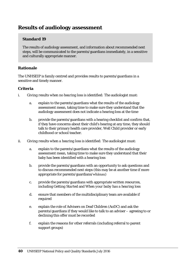# **Results of audiology assessment**

## **Standard 19**

The results of audiology assessment, and information about recommended next steps, will be communicated to the parents/guardians immediately, in a sensitive and culturally appropriate manner.

## **Rationale**

The UNHSEIP is family centred and provides results to parents/guardians in a sensitive and timely manner.

- i. *Giving results when no hearing loss is identified:* The audiologist must:
	- a. explain to the parents/guardians what the results of the audiology assessment mean, taking time to make sure they understand that the audiology assessment does not indicate a hearing loss at the time
	- b. provide the parents/guardians with a hearing checklist and confirm that, if they have concerns about their child's hearing at any time, they should talk to their primary health care provider, Well Child provider or early childhood or school teacher.
- ii. *Giving results when a hearing loss is identified:* The audiologist must:
	- a. explain to the parents/guardians what the results of the audiology assessment mean, taking time to make sure they understand that their baby has been identified with a hearing loss
	- b. provide the parents/guardians with an opportunity to ask questions and to discuss recommended next steps (this may be at another time if more appropriate for parents/guardians/whānau)
	- c. provide the parents/guardians with appropriate written resources, including *Getting Started* and *When your baby has a hearing loss*
	- d. ensure that members of the multidisciplinary team are available if required
	- e. explain the role of Advisers on Deaf Children (AoDC) and ask the parents/guardians if they would like to talk to an adviser – agreeing to or declining this offer must be recorded
	- f. explain the reasons for other referrals (including referral to parent support groups)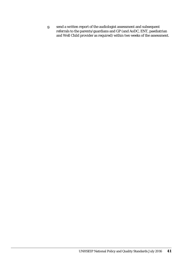g. send a written report of the audiologist assessment and subsequent referrals to the parents/guardians and GP (and AoDC, ENT, paediatrian and Well Child provider as required) within two weeks of the assessment.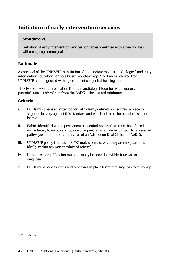# **Initiation of early intervention services**

## **Standard 20**

Initiation of early intervention services for babies identified with a hearing loss will meet programme goals.

## **Rationale**

A core goal of the UNHSEIP is initiation of appropriate medical, audiological and early intervention education services by six months of age<sup>[10](#page-51-0)</sup> for babies referred from UNHSEIP and diagnosed with a permanent congenital hearing loss.

Timely and relevant information from the audiologist together with support for parents/guardians/whānau from the AoDC is the desired minimum.

#### **Criteria**

- i. DHBs must have a written policy with clearly defined procedures in place to support delivery against this standard and which address the criteria described below.
- ii. Babies identified with a permanent congenital hearing loss must be referred immediately to an otolaryngologist (or paediatrician, depending on local referral pathways) and offered the services of an Adviser on Deaf Children (AoDC).
- iii. UNHSEIP policy is that the AoDC makes contact with the parents/guardians ideally within ten working days of referral.
- iv. If required, amplification must normally be provided within four weeks of diagnosis.
- v. DHBs must have systems and processes in place for minimising loss to follow-up.

-

<span id="page-51-0"></span><sup>10</sup> Corrected age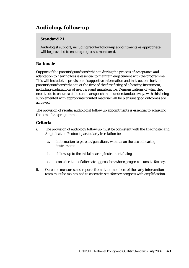# **Audiology follow-up**

# **Standard 21**

Audiologist support, including regular follow-up appointments as appropriate will be provided to ensure progress is monitored.

# **Rationale**

Support of the parents/guardians/whānau during the process of acceptance and adaptation to hearing loss is essential to maintain engagement with the programme. This will include the provision of supportive information and instructions for the parents/guardians/whānau at the time of the first fitting of a hearing instrument, including explanations of use, care and maintenance. Demonstrations of what they need to do to ensure a child can hear speech in an understandable way, with this being supplemented with appropriate printed material will help ensure good outcomes are achieved.

The provision of regular audiologist follow-up appointments is essential to achieving the aim of the programme.

- i. The provision of audiology follow-up must be consistent with the *Diagnostic and Amplification Protocol* particularly in relation to:
	- a. information to parents/guardians/whanua on the use of hearing instruments
	- b. follow-up to the initial hearing instrument fitting
	- c. consideration of alternate approaches where progress is unsatisfactory.
- ii. Outcome measures and reports from other members of the early intervention team must be maintained to ascertain satisfactory progress with amplification.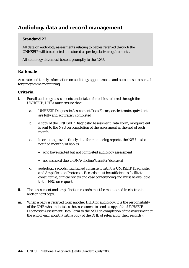# **Audiology data and record management**

## **Standard 22**

All data on audiology assessments relating to babies referred through the UNHSEIP will be collected and stored as per legislative requirements.

All audiology data must be sent promptly to the NSU.

#### **Rationale**

Accurate and timely information on audiology appointments and outcomes is essential for programme monitoring.

- i. For all audiology assessments undertaken for babies referred through the UNHSEIP, DHBs must ensure that:
	- a. UNHSEIP Diagnostic Assessment Data Forms, or electronic equivalent are fully and accurately completed
	- b. a copy of the UNHSEIP Diagnostic Assessment Data Form, or equivalent is sent to the NSU on completion of the assessment at the end of each month
	- c. in order to provide timely data for monitoring reports, the NSU is also notified monthly of babies:
		- who have started but not completed audiology assessment
		- not assessed due to DNA/decline/transfer/deceased
	- d. audiologic records maintained consistent with the *UNHSEIP Diagnostic and Amplification Protocols*. Records must be sufficient to facilitate consultative, clinical review and case conferencing and must be available to the NSU on request.
- ii. The assessment and amplification records must be maintained in electronic and/or hard copy.
- iii. When a baby is referred from another DHB for audiology, it is the responsibility of the DHB who undertakes the assessment to send a copy of the UNHSEIP Diagnostic Assessment Data Form to the NSU on completion of the assessment at the end of each month (with a copy of the DHB of referral for their records).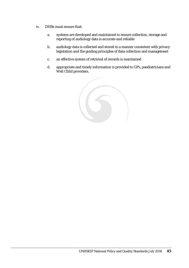- iv. DHBs must ensure that:
	- a. systems are developed and maintained to ensure collection, storage and reporting of audiology data is accurate and reliable
	- b. audiology data is collected and stored in a manner consistent with privacy legislation and the guiding principles of data collection and management
	- c. an effective system of retrieval of records is maintained
	- d. appropriate and timely information is provided to GPs, paediatricians and Well Child providers.

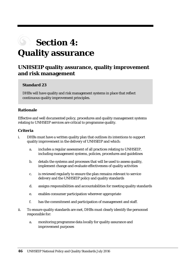# **Section 4: Quality assurance**

# **UNHSEIP quality assurance, quality improvement and risk management**

## **Standard 23**

DHBs will have quality and risk management systems in place that reflect continuous quality improvement principles.

#### **Rationale**

Effective and well documented policy, procedures and quality management systems relating to UNHSEIP services are critical to programme quality.

- i. DHBs must have a written quality plan that outlines its intentions to support quality improvement in the delivery of UNHSEIP and which:
	- a. includes a regular assessment of all practices relating to UNHSEIP, including management systems, policies, procedures and guidelines
	- b. details the systems and processes that will be used to assess quality, implement change and evaluate effectiveness of quality activities
	- c. is reviewed regularly to ensure the plan remains relevant to service delivery and the UNHSEIP policy and quality standards
	- d. assigns responsibilities and accountabilities for meeting quality standards
	- e. enables consumer participation wherever appropriate
	- f. has the commitment and participation of management and staff.
- ii. To ensure quality standards are met, DHBs must clearly identify the personnel responsible for:
	- a. monitoring programme data locally for quality assurance and improvement purposes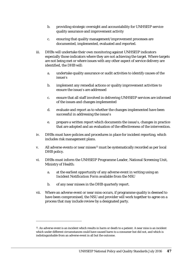- b. providing strategic oversight and accountability for UNHSEIP service quality assurance and improvement activity
- c. ensuring that quality management/improvement processes are documented, implemented, evaluated and reported.
- iii. DHBs will undertake their own monitoring against UNHSEIP indicators especially those indicators where they are not achieving the target. Where targets are not being met or where issues with any other aspect of service delivery are identified, the DHB will:
	- a. undertake quality assurance or audit activities to identify causes of the issue/s
	- b. implement any remedial actions or quality improvement activities to ensure the issue/s are addressed
	- c. ensure that all staff involved in delivering UNHSEIP services are informed of the issues and changes implemented
	- d. evaluate and report as to whether the changes implemented have been successful in addressing the issue/s
	- e. prepare a written report which documents the issue/s, changes in practice that are adopted and an evaluation of the effectiveness of the intervention.
- iv. DHBs must have policies and procedures in place for incident reporting, which includes risk management plans.
- v. All adverse events or near misses<sup>[11](#page-56-0)</sup> must be systematically recorded as per local DHB policy.
- vi. DHBs must inform the UNHSEIP Programme Leader, National Screening Unit, Ministry of Health:
	- a. at the earliest opportunity of any adverse event in writing using an *Incident Notification Form* available from the NSU
	- b. of any near misses in the DHB quarterly report.

 $\overline{a}$ 

vii. Where an adverse event or near miss occurs, if programme quality is deemed to have been compromised, the NSU and provider will work together to agree on a process that may include review by a designated party.

<span id="page-56-0"></span> $11$ . An adverse event is an incident which results in harm or death to a patient. A near miss is an incident which under different circumstances could have caused harm to a consumer but did not, and which is indistinguishable from an adverse event in all but the outcome.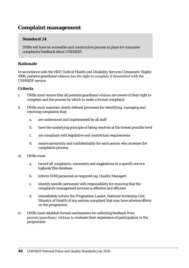# **Complaint management**

#### **Standard 24**

DHBs will have an accessible and constructive process in place for consumer complaints/feedback about UNHSEIP.

## **Rationale**

In accordance with the HDC Code of Health and Disability Services Consumers' Rights 1996, parents/guardians/whānau has the right to complain if dissatisfied with the UNHSEIP service.

- i. DHBs must ensure that all parents/guardians/whānau are aware of their right to complain and the process by which to make a formal complaint.
- ii. DHBs must maintain clearly defined processes for identifying, managing and resolving complaints that:
	- a. are understood and implemented by all staff
	- b. have the underlying principle of being resolved at the lowest possible level
	- c. are compliant with legislative and contractual requirements
	- d. assure anonymity and confidentiality for each person who accesses the complaints process.
- iii. DHBs must:
	- a. record all complaints, comments and suggestions in a specific service logbook/file/database
	- b. inform DHB personnel as required (eg. Quality Manager)
	- c. identify specific personnel with responsibility for ensuring that the complaints management process is effective and efficient
	- d. immediately inform the Programme Leader, National Screening Unit, Ministry of Health of any serious complaint that may have adverse effects on the programme.
- iv. DHBs must establish formal mechanisms for collecting feedback from parents/guardians/ whānau to evaluate their experience of participation in the programme.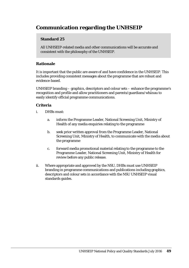# **Communication regarding the UNHSEIP**

## **Standard 25**

All UNHSEIP-related media and other communications will be accurate and consistent with the philosophy of the UNHSEIP.

## **Rationale**

It is important that the public are aware of and have confidence in the UNHSEIP. This includes providing consistent messages about the programme that are robust and evidence-based.

UNHSEIP branding – graphics, descriptors and colour sets – enhance the programme's recognition and profile and allow practitioners and parents/guardians/whānau to easily identify official programme communications.

- i. DHBs must:
	- a. inform the Programme Leader, National Screening Unit, Ministry of Health of any media enquiries relating to the programme
	- b. seek prior written approval from the Programme Leader, National Screening Unit, Ministry of Health, to communicate with the media about the programme
	- c. forward media promotional material relating to the programme to the Programme Leader, National Screening Unit, Ministry of Health for review before any public release.
- ii. Where appropriate and approved by the NSU, DHBs must use UNHSEIP branding in programme communications and publications including graphics, descriptors and colour sets in accordance with the NSU UNHSEIP visual standards guides.